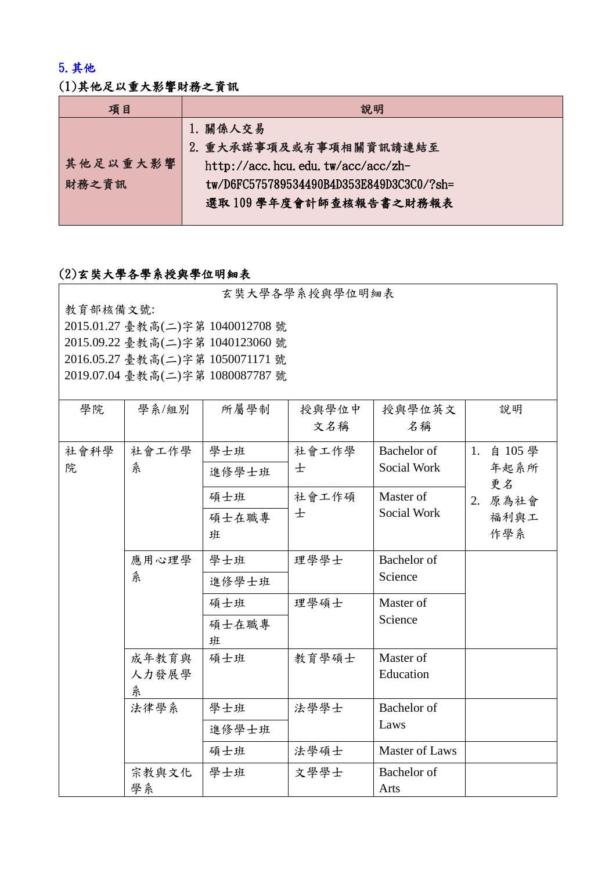## 5.其他

## (1)其他足以重大影響財務之資訊

| 項目       | 說明                                       |
|----------|------------------------------------------|
|          | 1. 關係人交易                                 |
|          | 2. 重大承諾事項及或有事項相關資訊請連結至                   |
| 其他足以重大影響 | http://acc.hcu.edu.tw/acc/acc/zh-        |
| 財務之資訊    | tw/D6FC575789534490B4D353E849D3C3C0/?sh= |
|          | 選取109學年度會計師查核報告書之財務報表                    |
|          |                                          |

## (2)玄奘大學各學系授與學位明細表

玄奘大學各學系授與學位明細表

教育部核備文號: 2015.01.27 臺教高(二)字第 1040012708 號 2015.09.22 臺教高(二)字第 1040123060 號 2016.05.27 臺教高(二)字第 1050071171 號 2019.07.04 臺教高(二)字第 1080087787 號

| 學院   | 學系/組別       | 所屬學制  | 授與學位中 | 授與學位英文                     | 說明            |
|------|-------------|-------|-------|----------------------------|---------------|
|      |             |       | 文名稱   | 名稱                         |               |
| 社會科學 | 社會工作學       | 學士班   | 社會工作學 | <b>Bachelor</b> of         | 1.<br>自 105 學 |
| 院    | 糸           | 進修學士班 | 士     | Social Work                | 年起系所<br>更名    |
|      |             | 碩士班   | 社會工作碩 | Master of                  | 2. 原為社會       |
|      |             | 碩士在職專 | 士     | Social Work                | 福利與工          |
|      |             | 班     |       |                            | 作學系           |
|      | 應用心理學       | 學士班   | 理學學士  | <b>Bachelor</b> of         |               |
|      | 糸           | 進修學士班 |       | Science                    |               |
|      |             | 碩士班   | 理學碩士  | Master of                  |               |
|      |             | 碩士在職專 |       | Science                    |               |
|      |             | 班     |       |                            |               |
|      | 成年教育與       | 碩士班   | 教育學碩士 | Master of                  |               |
|      | 人力發展學       |       |       | Education                  |               |
|      | 糸           |       |       |                            |               |
|      | 法律學系        | 學士班   | 法學學士  | Bachelor of                |               |
|      |             | 進修學士班 |       | Laws                       |               |
|      |             | 碩士班   | 法學碩士  | <b>Master of Laws</b>      |               |
|      | 宗教與文化<br>學系 | 學士班   | 文學學士  | <b>Bachelor</b> of<br>Arts |               |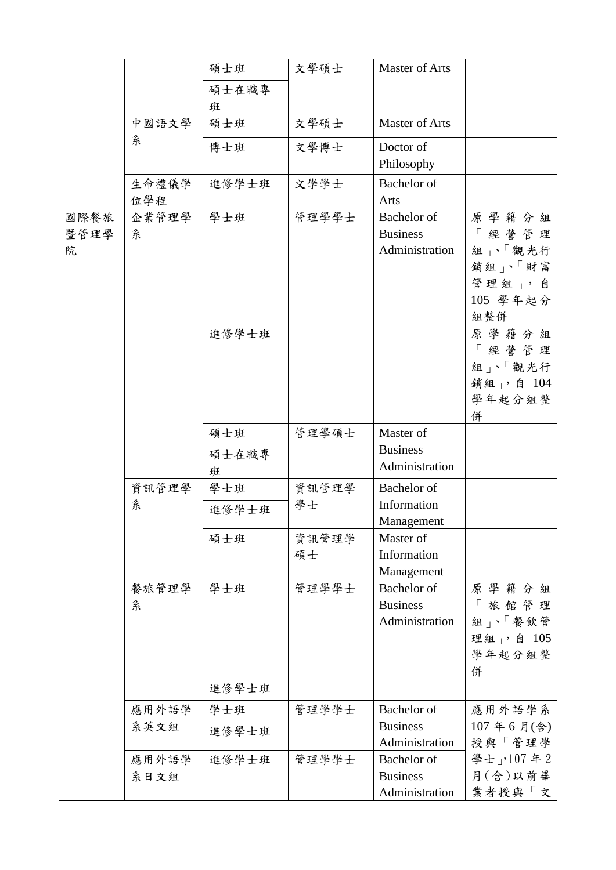|                   |               | 碩士班               | 文學碩士        | <b>Master of Arts</b>                            |                                                                                                              |
|-------------------|---------------|-------------------|-------------|--------------------------------------------------|--------------------------------------------------------------------------------------------------------------|
|                   |               | 碩士在職專             |             |                                                  |                                                                                                              |
|                   |               | 班                 |             |                                                  |                                                                                                              |
|                   | 中國語文學         | 碩士班               | 文學碩士        | <b>Master of Arts</b>                            |                                                                                                              |
|                   | 糸             | 博士班               | 文學博士        | Doctor of                                        |                                                                                                              |
|                   |               |                   |             | Philosophy                                       |                                                                                                              |
|                   | 生命禮儀學<br>位學程  | 進修學士班             | 文學學士        | Bachelor of<br>Arts                              |                                                                                                              |
| 國際餐旅<br>暨管理學<br>院 | 企業管理學<br>糸    | 學士班<br>進修學士班      | 管理學學士       | Bachelor of<br><b>Business</b><br>Administration | 原學籍分組<br>「經營管理<br>組」、「觀光行<br>銷組」、「財富<br>管理組」,自<br>105 學年起分<br>組整併<br>原學籍分組<br>「經營管理<br>組」、「觀光行<br>銷組」, 自 104 |
|                   |               |                   |             |                                                  | 學年起分組整<br>併                                                                                                  |
|                   |               | 碩士班<br>碩士在職專<br>班 | 管理學碩士       | Master of<br><b>Business</b><br>Administration   |                                                                                                              |
|                   | 資訊管理學         | 學士班               | 資訊管理學       | Bachelor of                                      |                                                                                                              |
|                   | 糸             | 進修學士班             | 學士          | Information<br>Management                        |                                                                                                              |
|                   |               | 碩士班               | 資訊管理學<br>碩士 | Master of<br>Information<br>Management           |                                                                                                              |
|                   | 餐旅管理學<br>糸    | 學士班<br>進修學士班      | 管理學學士       | Bachelor of<br><b>Business</b><br>Administration | 原學籍分組<br>「旅館管理<br>組」、「餐飲管<br>理組」,自 105<br>學年起分組整<br>併                                                        |
|                   | 應用外語學         | 學士班               | 管理學學士       | <b>Bachelor</b> of                               | 應用外語學系                                                                                                       |
|                   | 系英文組          | 進修學士班             |             | <b>Business</b><br>Administration                | 107年6月(含)<br>授與「管理學                                                                                          |
|                   | 應用外語學<br>系日文組 | 進修學士班             | 管理學學士       | Bachelor of<br><b>Business</b><br>Administration | 學士」,107年2<br>月(含)以前畢<br>業者授與「文                                                                               |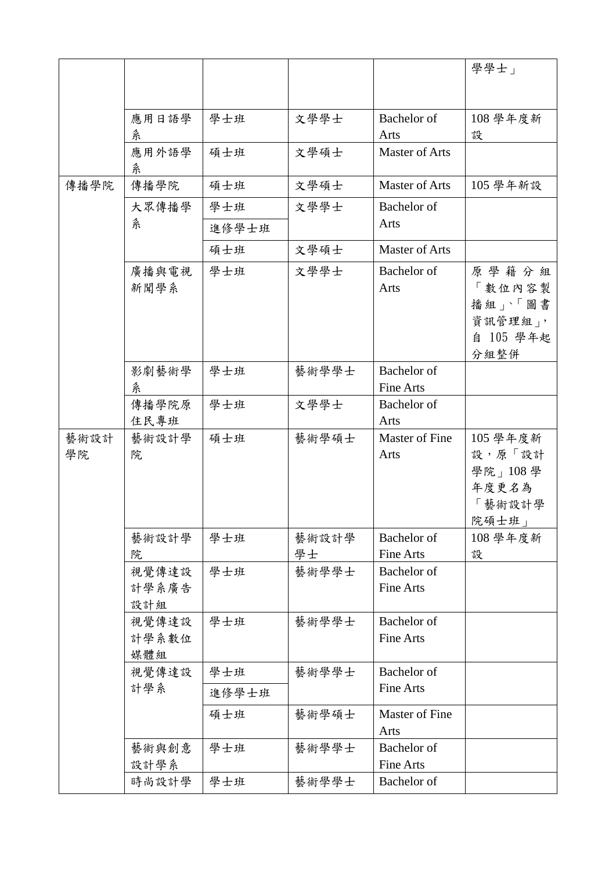|            |                       |       |       |                                        | 學學士」                                                       |
|------------|-----------------------|-------|-------|----------------------------------------|------------------------------------------------------------|
|            |                       |       |       |                                        |                                                            |
|            |                       |       |       |                                        |                                                            |
|            | 應用日語學                 | 學士班   | 文學學士  | Bachelor of                            | 108 學年度新                                                   |
|            | 糸                     |       |       | Arts                                   | 設                                                          |
|            | 應用外語學<br>糸            | 碩士班   | 文學碩士  | Master of Arts                         |                                                            |
| 傳播學院       | 傳播學院                  | 碩士班   | 文學碩士  | Master of Arts                         | 105 學年新設                                                   |
|            | 大眾傳播學                 | 學士班   | 文學學士  | Bachelor of                            |                                                            |
|            | 糸                     | 進修學士班 |       | Arts                                   |                                                            |
|            |                       | 碩士班   | 文學碩士  | Master of Arts                         |                                                            |
|            | 廣播與電視<br>新聞學系         | 學士班   | 文學學士  | Bachelor of<br>Arts                    | 原學籍分組<br>「數位內容製<br>播組」、「圖書<br>資訊管理組」,<br>自 105 學年起<br>分組整併 |
|            | 影劇藝術學<br>糸            | 學士班   | 藝術學學士 | Bachelor of<br>Fine Arts               |                                                            |
|            | 傳播學院原                 | 學士班   | 文學學士  | Bachelor of                            |                                                            |
|            | 住民專班                  |       |       | Arts                                   |                                                            |
| 藝術設計<br>學院 | 藝術設計學<br>院            | 碩士班   | 藝術學碩士 | Master of Fine<br>Arts                 | 105 學年度新<br>設,原「設計<br>學院」108學<br>年度更名為<br>「藝術設計學<br>院碩士班」  |
|            | 藝術設計學                 | 學士班   | 藝術設計學 | Bachelor of                            | 108 學年度新                                                   |
|            | 院                     |       | 學士    | <b>Fine Arts</b>                       | 設                                                          |
|            | 視覺傳達設<br>計學系廣告<br>設計組 | 學士班   | 藝術學學士 | Bachelor of<br><b>Fine Arts</b>        |                                                            |
|            | 視覺傳達設<br>計學系數位<br>媒體組 | 學士班   | 藝術學學士 | Bachelor of<br><b>Fine Arts</b>        |                                                            |
|            | 視覺傳達設                 | 學士班   | 藝術學學士 | Bachelor of                            |                                                            |
|            | 計學系                   | 進修學士班 |       | <b>Fine Arts</b>                       |                                                            |
|            |                       | 碩士班   | 藝術學碩士 | Master of Fine<br>Arts                 |                                                            |
|            | 藝術與創意<br>設計學系         | 學士班   | 藝術學學士 | <b>Bachelor</b> of<br><b>Fine Arts</b> |                                                            |
|            | 時尚設計學                 | 學士班   | 藝術學學士 | Bachelor of                            |                                                            |